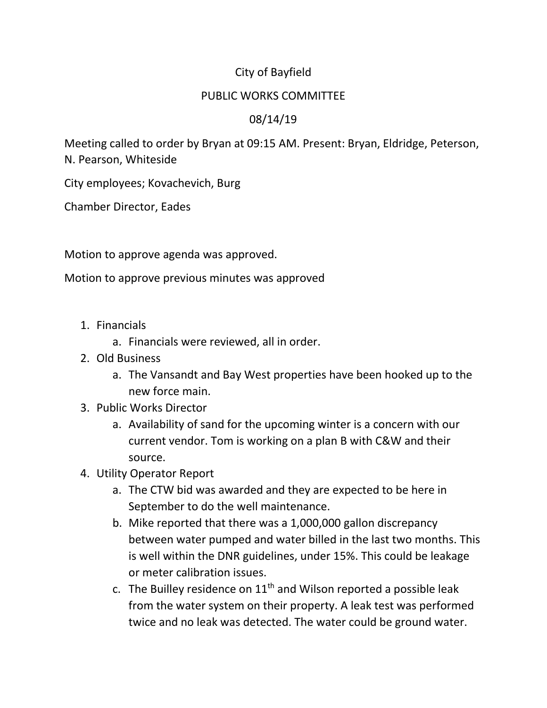## City of Bayfield

## PUBLIC WORKS COMMITTEE

## 08/14/19

Meeting called to order by Bryan at 09:15 AM. Present: Bryan, Eldridge, Peterson, N. Pearson, Whiteside

City employees; Kovachevich, Burg

Chamber Director, Eades

Motion to approve agenda was approved.

Motion to approve previous minutes was approved

- 1. Financials
	- a. Financials were reviewed, all in order.
- 2. Old Business
	- a. The Vansandt and Bay West properties have been hooked up to the new force main.
- 3. Public Works Director
	- a. Availability of sand for the upcoming winter is a concern with our current vendor. Tom is working on a plan B with C&W and their source.
- 4. Utility Operator Report
	- a. The CTW bid was awarded and they are expected to be here in September to do the well maintenance.
	- b. Mike reported that there was a 1,000,000 gallon discrepancy between water pumped and water billed in the last two months. This is well within the DNR guidelines, under 15%. This could be leakage or meter calibration issues.
	- c. The Builley residence on  $11<sup>th</sup>$  and Wilson reported a possible leak from the water system on their property. A leak test was performed twice and no leak was detected. The water could be ground water.